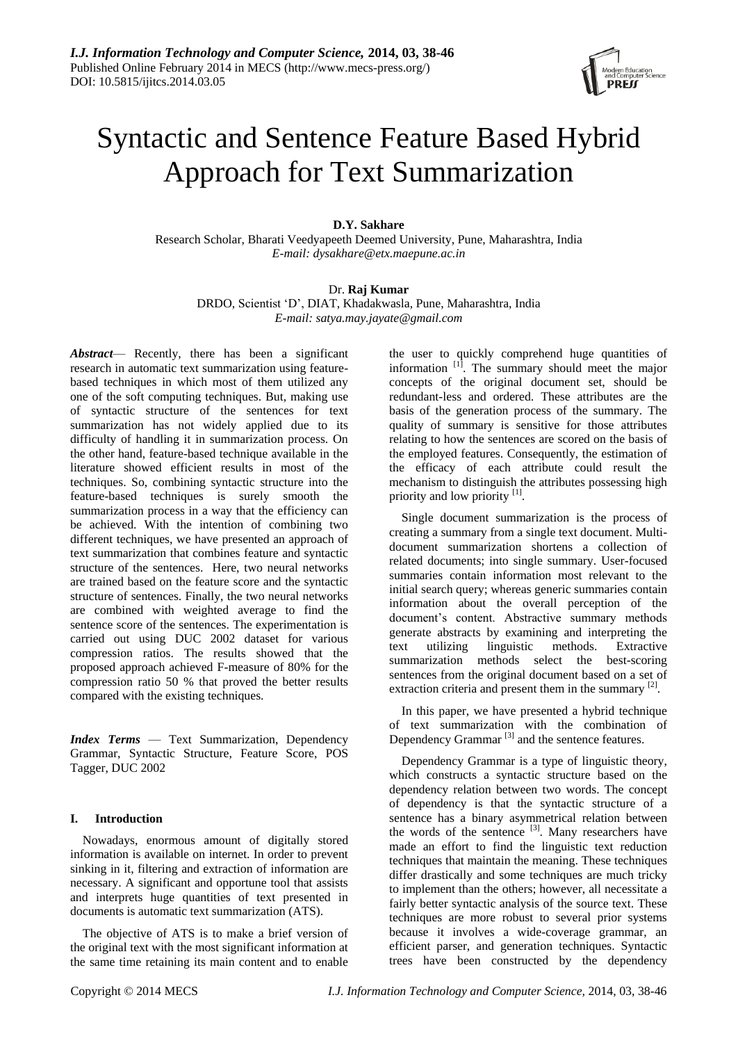

# Syntactic and Sentence Feature Based Hybrid Approach for Text Summarization

# **D.Y. Sakhare**

Research Scholar, Bharati Veedyapeeth Deemed University, Pune, Maharashtra, India *E-mail: dysakhare@etx.maepune.ac.in*

## Dr. **Raj Kumar**

DRDO, Scientist ‗D', DIAT, Khadakwasla, Pune, Maharashtra, India *E-mail: satya.may.jayate@gmail.com*

*Abstract*— Recently, there has been a significant research in automatic text summarization using featurebased techniques in which most of them utilized any one of the soft computing techniques. But, making use of syntactic structure of the sentences for text summarization has not widely applied due to its difficulty of handling it in summarization process. On the other hand, feature-based technique available in the literature showed efficient results in most of the techniques. So, combining syntactic structure into the feature-based techniques is surely smooth the summarization process in a way that the efficiency can be achieved. With the intention of combining two different techniques, we have presented an approach of text summarization that combines feature and syntactic structure of the sentences. Here, two neural networks are trained based on the feature score and the syntactic structure of sentences. Finally, the two neural networks are combined with weighted average to find the sentence score of the sentences. The experimentation is carried out using DUC 2002 dataset for various compression ratios. The results showed that the proposed approach achieved F-measure of 80% for the compression ratio 50 % that proved the better results compared with the existing techniques.

*Index Terms* — Text Summarization, Dependency Grammar, Syntactic Structure, Feature Score, POS Tagger, DUC 2002

# **I. Introduction**

Nowadays, enormous amount of digitally stored information is available on internet. In order to prevent sinking in it, filtering and extraction of information are necessary. A significant and opportune tool that assists and interprets huge quantities of text presented in documents is automatic text summarization (ATS).

The objective of ATS is to make a brief version of the original text with the most significant information at the same time retaining its main content and to enable

the user to quickly comprehend huge quantities of information <sup>[1]</sup>. The summary should meet the major concepts of the original document set, should be redundant-less and ordered. These attributes are the basis of the generation process of the summary. The quality of summary is sensitive for those attributes relating to how the sentences are scored on the basis of the employed features. Consequently, the estimation of the efficacy of each attribute could result the mechanism to distinguish the attributes possessing high priority and low priority [1].

Single document summarization is the process of creating a summary from a single text document. Multidocument summarization shortens a collection of related documents; into single summary. User-focused summaries contain information most relevant to the initial search query; whereas generic summaries contain information about the overall perception of the document's content. Abstractive summary methods generate abstracts by examining and interpreting the text utilizing linguistic methods. Extractive summarization methods select the best-scoring sentences from the original document based on a set of extraction criteria and present them in the summary  $^{[2]}$ .

In this paper, we have presented a hybrid technique of text summarization with the combination of Dependency Grammar<sup>[3]</sup> and the sentence features.

Dependency Grammar is a type of linguistic theory, which constructs a syntactic structure based on the dependency relation between two words. The concept of dependency is that the syntactic structure of a sentence has a binary asymmetrical relation between the words of the sentence  $[3]$ . Many researchers have made an effort to find the linguistic text reduction techniques that maintain the meaning. These techniques differ drastically and some techniques are much tricky to implement than the others; however, all necessitate a fairly better syntactic analysis of the source text. These techniques are more robust to several prior systems because it involves a wide-coverage grammar, an efficient parser, and generation techniques. Syntactic trees have been constructed by the dependency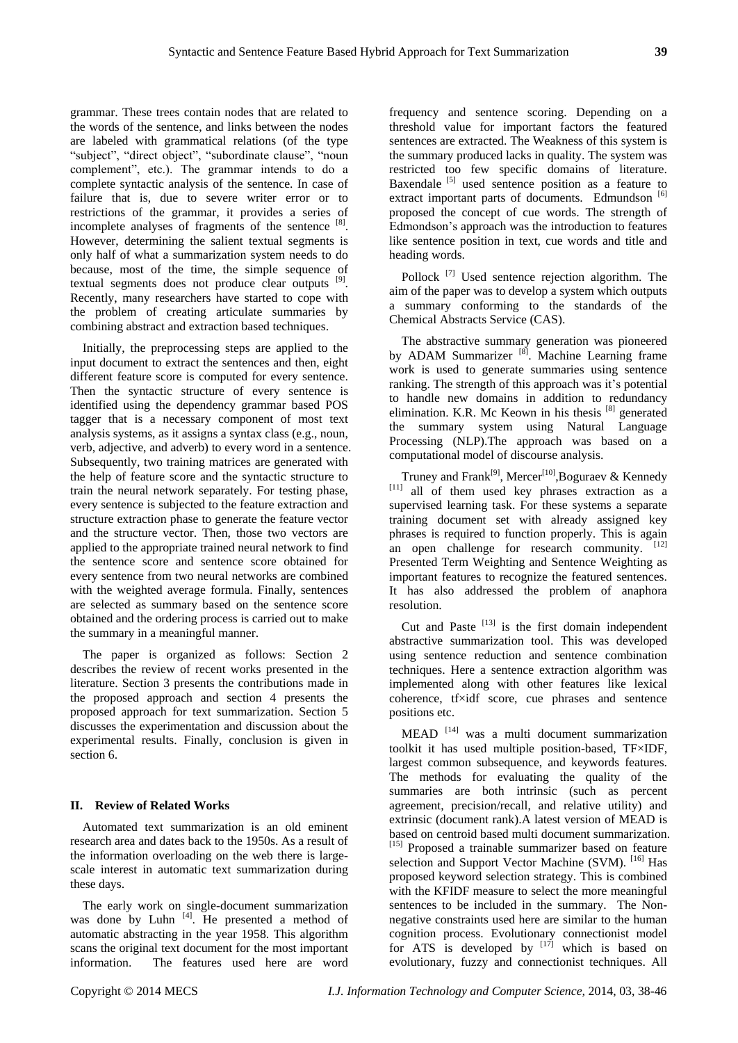grammar. These trees contain nodes that are related to the words of the sentence, and links between the nodes are labeled with grammatical relations (of the type "subject", "direct object", "subordinate clause", "noun complement", etc.). The grammar intends to do a complete syntactic analysis of the sentence. In case of failure that is, due to severe writer error or to restrictions of the grammar, it provides a series of incomplete analyses of fragments of the sentence  $[8]$ . However, determining the salient textual segments is only half of what a summarization system needs to do because, most of the time, the simple sequence of textual segments does not produce clear outputs <sup>[9]</sup>. Recently, many researchers have started to cope with the problem of creating articulate summaries by combining abstract and extraction based techniques.

Initially, the preprocessing steps are applied to the input document to extract the sentences and then, eight different feature score is computed for every sentence. Then the syntactic structure of every sentence is identified using the dependency grammar based POS tagger that is a necessary component of most text analysis systems, as it assigns a syntax class (e.g., noun, verb, adjective, and adverb) to every word in a sentence. Subsequently, two training matrices are generated with the help of feature score and the syntactic structure to train the neural network separately. For testing phase, every sentence is subjected to the feature extraction and structure extraction phase to generate the feature vector and the structure vector. Then, those two vectors are applied to the appropriate trained neural network to find the sentence score and sentence score obtained for every sentence from two neural networks are combined with the weighted average formula. Finally, sentences are selected as summary based on the sentence score obtained and the ordering process is carried out to make the summary in a meaningful manner.

The paper is organized as follows: Section 2 describes the review of recent works presented in the literature. Section 3 presents the contributions made in the proposed approach and section 4 presents the proposed approach for text summarization. Section 5 discusses the experimentation and discussion about the experimental results. Finally, conclusion is given in section 6.

### **II. Review of Related Works**

Automated text summarization is an old eminent research area and dates back to the 1950s. As a result of the information overloading on the web there is largescale interest in automatic text summarization during these days.

The early work on single-document summarization was done by Luhn [4]. He presented a method of automatic abstracting in the year 1958. This algorithm scans the original text document for the most important information. The features used here are word

frequency and sentence scoring. Depending on a threshold value for important factors the featured sentences are extracted. The Weakness of this system is the summary produced lacks in quality. The system was restricted too few specific domains of literature. Baxendale<sup>[5]</sup> used sentence position as a feature to extract important parts of documents. Edmundson [6] proposed the concept of cue words. The strength of Edmondson's approach was the introduction to features like sentence position in text, cue words and title and heading words.

Pollock<sup>[7]</sup> Used sentence rejection algorithm. The aim of the paper was to develop a system which outputs a summary conforming to the standards of the Chemical Abstracts Service (CAS).

The abstractive summary generation was pioneered by ADAM Summarizer<sup>[8]</sup>. Machine Learning frame work is used to generate summaries using sentence ranking. The strength of this approach was it's potential to handle new domains in addition to redundancy elimination. K.R. Mc Keown in his thesis<sup>[8]</sup> generated the summary system using Natural Language Processing (NLP).The approach was based on a computational model of discourse analysis.

Truney and Frank<sup>[9]</sup>, Mercer<sup>[10]</sup>, Boguraev & Kennedy [11] all of them used key phrases extraction as a supervised learning task. For these systems a separate training document set with already assigned key phrases is required to function properly. This is again an open challenge for research community. [12] Presented Term Weighting and Sentence Weighting as important features to recognize the featured sentences. It has also addressed the problem of anaphora resolution.

Cut and Paste  $^{[13]}$  is the first domain independent abstractive summarization tool. This was developed using sentence reduction and sentence combination techniques. Here a sentence extraction algorithm was implemented along with other features like lexical coherence, tf xidf score, cue phrases and sentence positions etc.

MEAD<sup>[14]</sup> was a multi document summarization toolkit it has used multiple position-based, TF×IDF, largest common subsequence, and keywords features. The methods for evaluating the quality of the summaries are both intrinsic (such as percent agreement, precision/recall, and relative utility) and extrinsic (document rank).A latest version of MEAD is based on centroid based multi document summarization. [15] Proposed a trainable summarizer based on feature selection and Support Vector Machine (SVM). <sup>[16]</sup> Has proposed keyword selection strategy. This is combined with the KFIDF measure to select the more meaningful sentences to be included in the summary. The Nonnegative constraints used here are similar to the human cognition process. Evolutionary connectionist model for ATS is developed by  $[17]$  which is based on evolutionary, fuzzy and connectionist techniques. All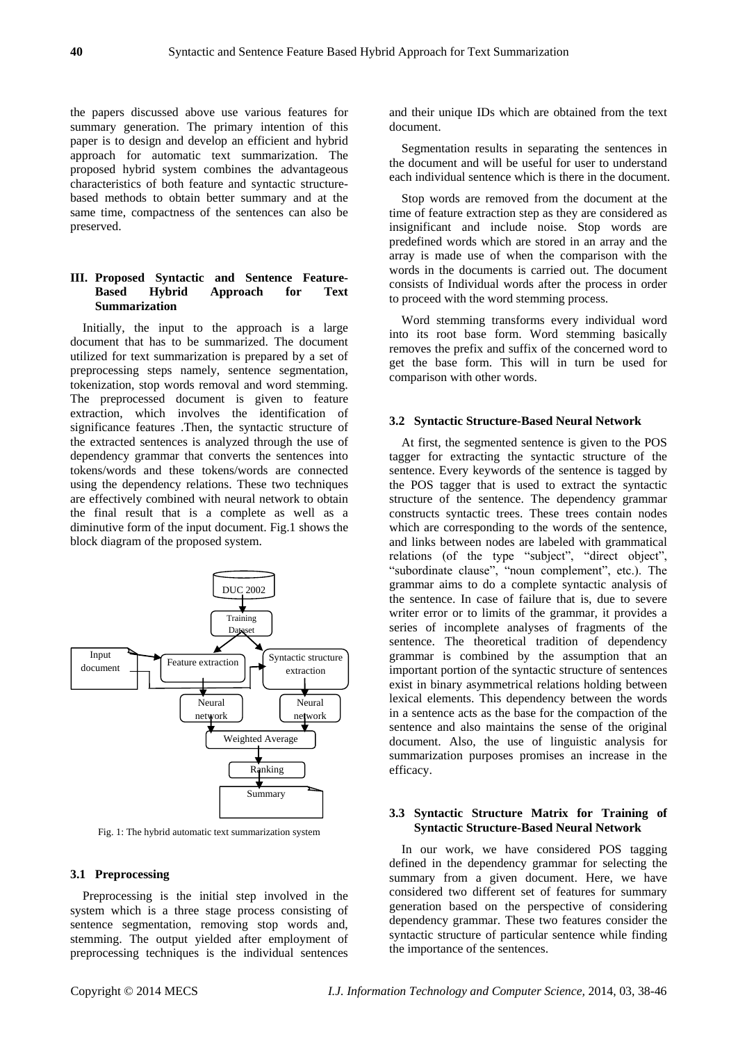the papers discussed above use various features for summary generation. The primary intention of this paper is to design and develop an efficient and hybrid approach for automatic text summarization. The proposed hybrid system combines the advantageous characteristics of both feature and syntactic structurebased methods to obtain better summary and at the same time, compactness of the sentences can also be preserved.

## **III. Proposed Syntactic and Sentence Feature-Based Hybrid Approach for Text Summarization**

Initially, the input to the approach is a large document that has to be summarized. The document utilized for text summarization is prepared by a set of preprocessing steps namely, sentence segmentation, tokenization, stop words removal and word stemming. The preprocessed document is given to feature extraction, which involves the identification of significance features .Then, the syntactic structure of the extracted sentences is analyzed through the use of dependency grammar that converts the sentences into tokens/words and these tokens/words are connected using the dependency relations. These two techniques are effectively combined with neural network to obtain the final result that is a complete as well as a diminutive form of the input document. Fig.1 shows the block diagram of the proposed system.



Fig. 1: The hybrid automatic text summarization system

#### **3.1 Preprocessing**

Preprocessing is the initial step involved in the system which is a three stage process consisting of sentence segmentation, removing stop words and, stemming. The output yielded after employment of preprocessing techniques is the individual sentences

and their unique IDs which are obtained from the text document.

Segmentation results in separating the sentences in the document and will be useful for user to understand each individual sentence which is there in the document.

Stop words are removed from the document at the time of feature extraction step as they are considered as insignificant and include noise. Stop words are predefined words which are stored in an array and the array is made use of when the comparison with the words in the documents is carried out. The document consists of Individual words after the process in order to proceed with the word stemming process.

Word stemming transforms every individual word into its root base form. Word stemming basically removes the prefix and suffix of the concerned word to get the base form. This will in turn be used for comparison with other words.

#### **3.2 Syntactic Structure-Based Neural Network**

At first, the segmented sentence is given to the POS tagger for extracting the syntactic structure of the sentence. Every keywords of the sentence is tagged by the POS tagger that is used to extract the syntactic structure of the sentence. The dependency grammar constructs syntactic trees. These trees contain nodes which are corresponding to the words of the sentence, and links between nodes are labeled with grammatical relations (of the type "subject", "direct object", "subordinate clause", "noun complement", etc.). The grammar aims to do a complete syntactic analysis of the sentence. In case of failure that is, due to severe writer error or to limits of the grammar, it provides a series of incomplete analyses of fragments of the sentence. The theoretical tradition of dependency grammar is combined by the assumption that an important portion of the syntactic structure of sentences exist in binary asymmetrical relations holding between lexical elements. This dependency between the words in a sentence acts as the base for the compaction of the sentence and also maintains the sense of the original document. Also, the use of linguistic analysis for summarization purposes promises an increase in the efficacy.

## **3.3 Syntactic Structure Matrix for Training of Syntactic Structure-Based Neural Network**

In our work, we have considered POS tagging defined in the dependency grammar for selecting the summary from a given document. Here, we have considered two different set of features for summary generation based on the perspective of considering dependency grammar. These two features consider the syntactic structure of particular sentence while finding the importance of the sentences.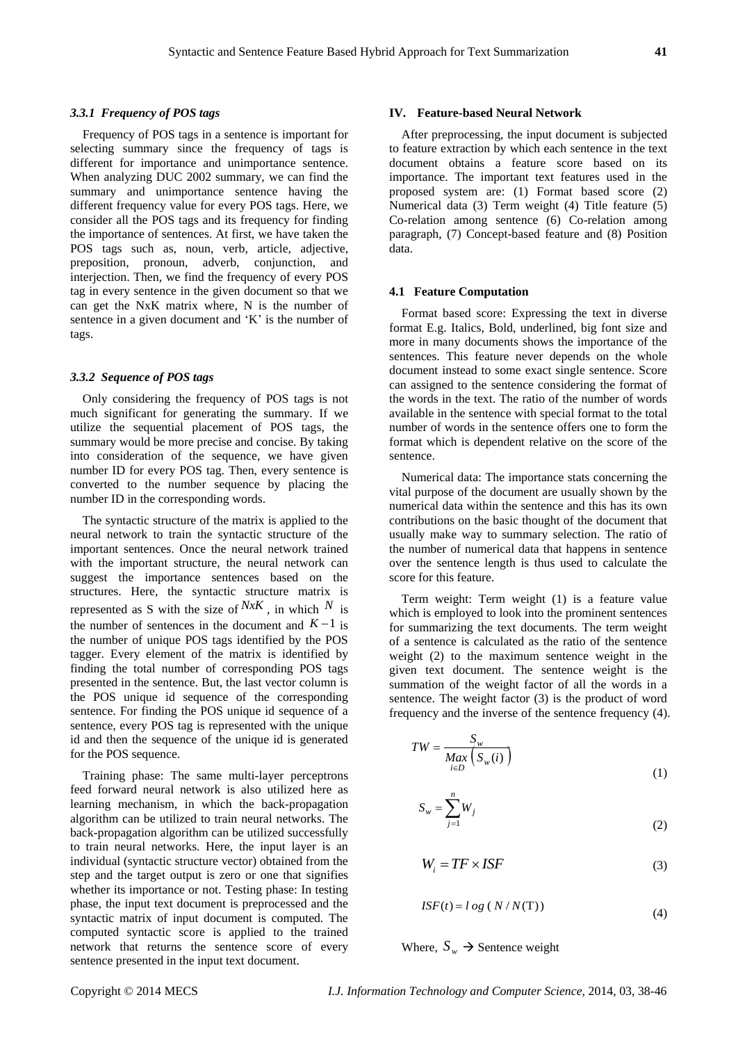#### *3.3.1 Frequency of POS tags*

Frequency of POS tags in a sentence is important for selecting summary since the frequency of tags is different for importance and unimportance sentence. When analyzing DUC 2002 summary, we can find the summary and unimportance sentence having the different frequency value for every POS tags. Here, we consider all the POS tags and its frequency for finding the importance of sentences. At first, we have taken the POS tags such as, noun, verb, article, adjective, preposition, pronoun, adverb, conjunction, and interjection. Then, we find the frequency of every POS tag in every sentence in the given document so that we can get the NxK matrix where, N is the number of sentence in a given document and  $K'$  is the number of tags.

#### *3.3.2 Sequence of POS tags*

Only considering the frequency of POS tags is not much significant for generating the summary. If we utilize the sequential placement of POS tags, the summary would be more precise and concise. By taking into consideration of the sequence, we have given number ID for every POS tag. Then, every sentence is converted to the number sequence by placing the number ID in the corresponding words.

The syntactic structure of the matrix is applied to the neural network to train the syntactic structure of the important sentences. Once the neural network trained with the important structure, the neural network can suggest the importance sentences based on the structures. Here, the syntactic structure matrix is represented as S with the size of  $NxK$ , in which N is the number of sentences in the document and  $K-1$  is the number of unique POS tags identified by the POS tagger. Every element of the matrix is identified by finding the total number of corresponding POS tags presented in the sentence. But, the last vector column is the POS unique id sequence of the corresponding sentence. For finding the POS unique id sequence of a sentence, every POS tag is represented with the unique id and then the sequence of the unique id is generated for the POS sequence.

Training phase: The same multi-layer perceptrons feed forward neural network is also utilized here as learning mechanism, in which the back-propagation algorithm can be utilized to train neural networks. The back-propagation algorithm can be utilized successfully to train neural networks. Here, the input layer is an individual (syntactic structure vector) obtained from the step and the target output is zero or one that signifies whether its importance or not. Testing phase: In testing phase, the input text document is preprocessed and the syntactic matrix of input document is computed. The computed syntactic score is applied to the trained network that returns the sentence score of every sentence presented in the input text document.

#### **IV. Feature-based Neural Network**

After preprocessing, the input document is subjected to feature extraction by which each sentence in the text document obtains a feature score based on its importance. The important text features used in the proposed system are: (1) Format based score (2) Numerical data (3) Term weight (4) Title feature (5) Co-relation among sentence (6) Co-relation among paragraph, (7) Concept-based feature and (8) Position data.

#### **4.1 Feature Computation**

Format based score: Expressing the text in diverse format E.g. Italics, Bold, underlined, big font size and more in many documents shows the importance of the sentences. This feature never depends on the whole document instead to some exact single sentence. Score can assigned to the sentence considering the format of the words in the text. The ratio of the number of words available in the sentence with special format to the total number of words in the sentence offers one to form the format which is dependent relative on the score of the sentence.

Numerical data: The importance stats concerning the vital purpose of the document are usually shown by the numerical data within the sentence and this has its own contributions on the basic thought of the document that usually make way to summary selection. The ratio of the number of numerical data that happens in sentence over the sentence length is thus used to calculate the score for this feature.

Term weight: Term weight (1) is a feature value which is employed to look into the prominent sentences for summarizing the text documents. The term weight of a sentence is calculated as the ratio of the sentence weight (2) to the maximum sentence weight in the given text document. The sentence weight is the summation of the weight factor of all the words in a sentence. The weight factor (3) is the product of word frequency and the inverse of the sentence frequency (4).

$$
TW = \frac{S_w}{\underset{i \in D}{Max} \left( S_w(i) \right)} \tag{1}
$$

$$
S_w = \sum_{j=1}^n W_j \tag{2}
$$

$$
W_i = TF \times ISF \tag{3}
$$

$$
ISF(t) = l \, og \left( \frac{N}{N(T)} \right) \tag{4}
$$

Where,  $S_w \rightarrow$  Sentence weight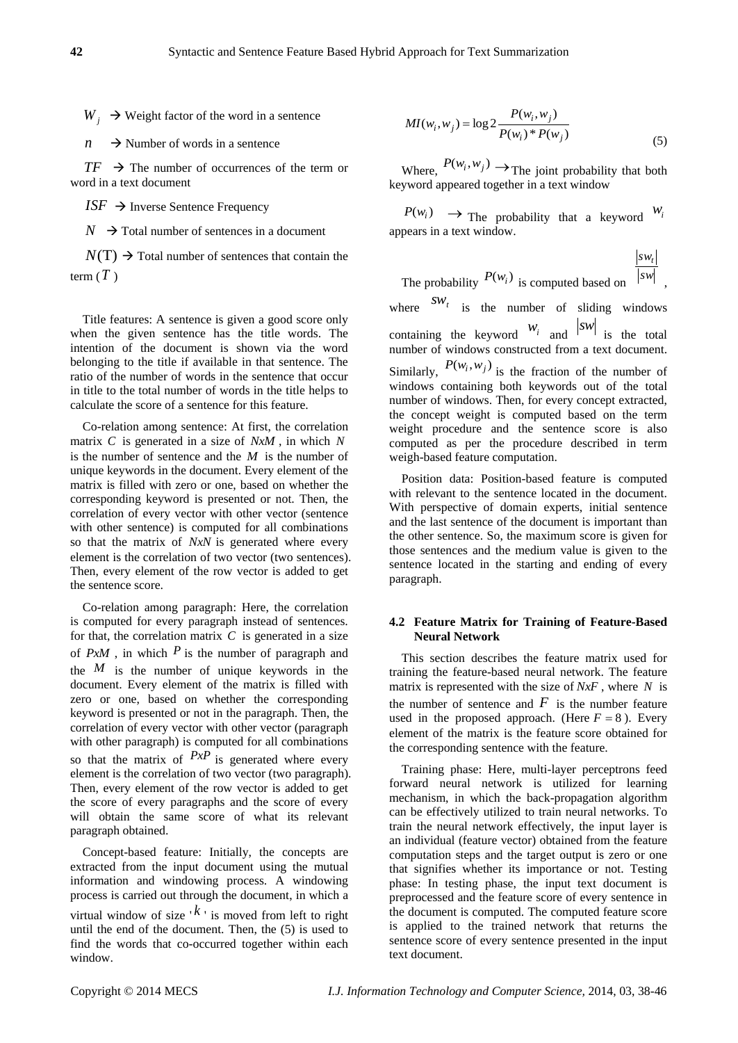$W_i \rightarrow$  Weight factor of the word in a sentence

 $n \rightarrow$  Number of words in a sentence

 $TF \rightarrow$  The number of occurrences of the term or word in a text document

 $ISF \rightarrow$  Inverse Sentence Frequency

 $N \rightarrow$  Total number of sentences in a document

 $N(T) \rightarrow$  Total number of sentences that contain the term ( *T* )

Title features: A sentence is given a good score only when the given sentence has the title words. The intention of the document is shown via the word belonging to the title if available in that sentence. The ratio of the number of words in the sentence that occur in title to the total number of words in the title helps to calculate the score of a sentence for this feature.

Co-relation among sentence: At first, the correlation matrix *C* is generated in a size of *NxM* , in which *N* is the number of sentence and the *M* is the number of unique keywords in the document. Every element of the matrix is filled with zero or one, based on whether the corresponding keyword is presented or not. Then, the correlation of every vector with other vector (sentence with other sentence) is computed for all combinations so that the matrix of *NxN* is generated where every element is the correlation of two vector (two sentences). Then, every element of the row vector is added to get the sentence score.

W - 3 Worlds from the second is a second science of the terms of the second of the second of the second of the second of the second of the second of the second of the second of the second of the second of the second of th Co-relation among paragraph: Here, the correlation is computed for every paragraph instead of sentences. for that, the correlation matrix  $C$  is generated in a size of  $PxM$ , in which  $P$  is the number of paragraph and the  $M$  is the number of unique keywords in the document. Every element of the matrix is filled with zero or one, based on whether the corresponding keyword is presented or not in the paragraph. Then, the correlation of every vector with other vector (paragraph with other paragraph) is computed for all combinations so that the matrix of  $P x P$  is generated where every element is the correlation of two vector (two paragraph). Then, every element of the row vector is added to get the score of every paragraphs and the score of every will obtain the same score of what its relevant paragraph obtained.

Concept-based feature: Initially, the concepts are extracted from the input document using the mutual information and windowing process. A windowing process is carried out through the document, in which a virtual window of size ' *k* ' is moved from left to right until the end of the document. Then, the (5) is used to find the words that co-occurred together within each window.

$$
MI(w_i, w_j) = \log 2 \frac{P(w_i, w_j)}{P(w_i)^* P(w_j)}
$$
(5)

Where,  $P(w_i, w_j) \rightarrow$  The joint probability that both keyword appeared together in a text window

 $P(w_i) \rightarrow$  The probability that a keyword  $w_i$ appears in a text window.

The probability 
$$
P(w_i)
$$
 is computed based on 
$$
\frac{|sw_i|}{|sw|},
$$

where  $SW_t$  is the number of sliding windows containing the keyword  $w_i$  and  $|sw|$  is the total number of windows constructed from a text document. Similarly,  $P(w_i, w_j)$  is the fraction of the number of windows containing both keywords out of the total number of windows. Then, for every concept extracted, the concept weight is computed based on the term weight procedure and the sentence score is also computed as per the procedure described in term weigh-based feature computation.

Position data: Position-based feature is computed with relevant to the sentence located in the document. With perspective of domain experts, initial sentence and the last sentence of the document is important than the other sentence. So, the maximum score is given for those sentences and the medium value is given to the sentence located in the starting and ending of every paragraph.

## **4.2 Feature Matrix for Training of Feature-Based Neural Network**

This section describes the feature matrix used for training the feature-based neural network. The feature matrix is represented with the size of *NxF* , where *N* is the number of sentence and  $F$  is the number feature used in the proposed approach. (Here  $F = 8$ ). Every element of the matrix is the feature score obtained for the corresponding sentence with the feature.

Training phase: Here, multi-layer perceptrons feed forward neural network is utilized for learning mechanism, in which the back-propagation algorithm can be effectively utilized to train neural networks. To train the neural network effectively, the input layer is an individual (feature vector) obtained from the feature computation steps and the target output is zero or one that signifies whether its importance or not. Testing phase: In testing phase, the input text document is preprocessed and the feature score of every sentence in the document is computed. The computed feature score is applied to the trained network that returns the sentence score of every sentence presented in the input text document.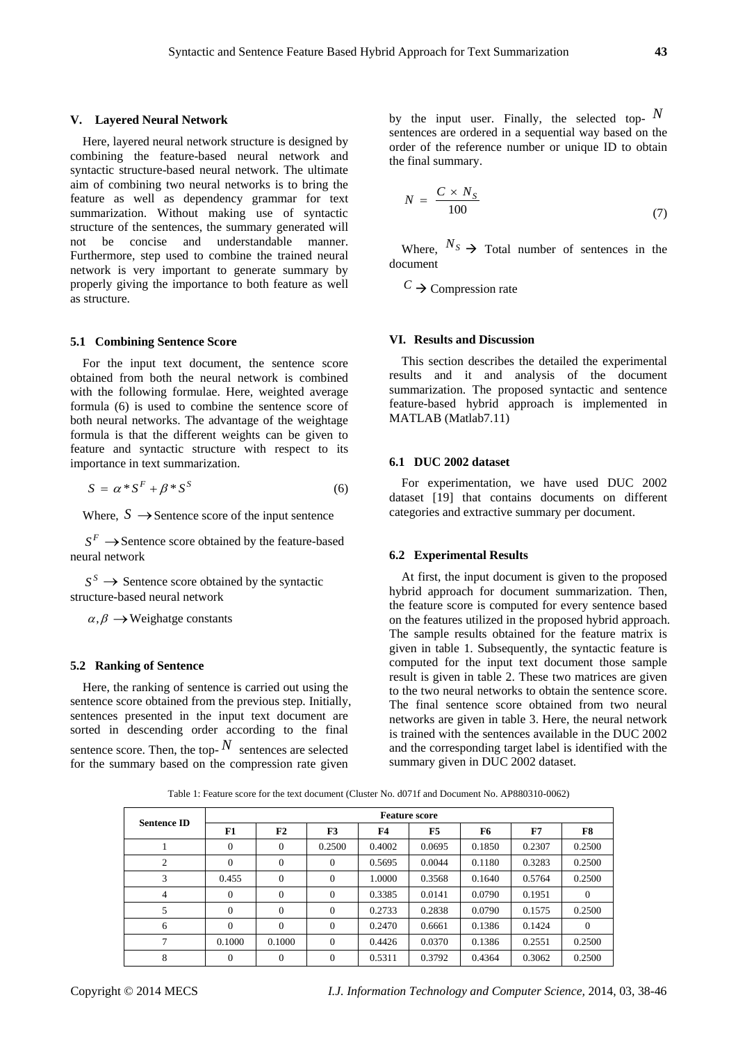#### **V. Layered Neural Network**

Here, layered neural network structure is designed by combining the feature-based neural network and syntactic structure-based neural network. The ultimate aim of combining two neural networks is to bring the feature as well as dependency grammar for text summarization. Without making use of syntactic structure of the sentences, the summary generated will not be concise and understandable manner. Furthermore, step used to combine the trained neural network is very important to generate summary by properly giving the importance to both feature as well as structure.

#### **5.1 Combining Sentence Score**

For the input text document, the sentence score obtained from both the neural network is combined with the following formulae. Here, weighted average formula (6) is used to combine the sentence score of both neural networks. The advantage of the weightage formula is that the different weights can be given to feature and syntactic structure with respect to its importance in text summarization.

$$
S = \alpha * S^F + \beta * S^S \tag{6}
$$

Where,  $S \rightarrow$  Sentence score of the input sentence

 $S^F \longrightarrow$  Sentence score obtained by the feature-based neural network

 $S^S \rightarrow$  Sentence score obtained by the syntactic structure-based neural network

 $\alpha, \beta \rightarrow$ Weighatge constants

#### **5.2 Ranking of Sentence**

Here, the ranking of sentence is carried out using the sentence score obtained from the previous step. Initially, sentences presented in the input text document are sorted in descending order according to the final sentence score. Then, the top- $N$  sentences are selected for the summary based on the compression rate given

by the input user. Finally, the selected top-  $N$ sentences are ordered in a sequential way based on the order of the reference number or unique ID to obtain the final summary.

$$
N = \frac{C \times N_S}{100} \tag{7}
$$

Where,  $N_S \rightarrow$  Total number of sentences in the document

 $C \rightarrow$  Compression rate

#### **VI. Results and Discussion**

This section describes the detailed the experimental results and it and analysis of the document summarization. The proposed syntactic and sentence feature-based hybrid approach is implemented in MATLAB (Matlab7.11)

#### **6.1 DUC 2002 dataset**

For experimentation, we have used DUC 2002 dataset [19] that contains documents on different categories and extractive summary per document.

#### **6.2 Experimental Results**

At first, the input document is given to the proposed hybrid approach for document summarization. Then, the feature score is computed for every sentence based on the features utilized in the proposed hybrid approach. The sample results obtained for the feature matrix is given in table 1. Subsequently, the syntactic feature is computed for the input text document those sample result is given in table 2. These two matrices are given to the two neural networks to obtain the sentence score. The final sentence score obtained from two neural networks are given in table 3. Here, the neural network is trained with the sentences available in the DUC 2002 and the corresponding target label is identified with the summary given in DUC 2002 dataset.

Table 1: Feature score for the text document (Cluster No. d071f and Document No. AP880310-0062)

| <b>Sentence ID</b> | <b>Feature score</b> |                |          |        |                |        |        |                |  |
|--------------------|----------------------|----------------|----------|--------|----------------|--------|--------|----------------|--|
|                    | F1                   | F <sub>2</sub> | F3       | F4     | F <sub>5</sub> | F6     | F7     | F8             |  |
|                    | $\Omega$             | 0              | 0.2500   | 0.4002 | 0.0695         | 0.1850 | 0.2307 | 0.2500         |  |
| $\overline{2}$     | $\Omega$             | 0              | $\Omega$ | 0.5695 | 0.0044         | 0.1180 | 0.3283 | 0.2500         |  |
| 3                  | 0.455                | $\mathbf{0}$   | $\theta$ | 1.0000 | 0.3568         | 0.1640 | 0.5764 | 0.2500         |  |
| 4                  | $\mathbf{0}$         | $\Omega$       | $\theta$ | 0.3385 | 0.0141         | 0.0790 | 0.1951 | $\overline{0}$ |  |
| 5                  | $\Omega$             | $\theta$       | $\Omega$ | 0.2733 | 0.2838         | 0.0790 | 0.1575 | 0.2500         |  |
| 6                  | $\Omega$             | $\Omega$       | $\Omega$ | 0.2470 | 0.6661         | 0.1386 | 0.1424 | $\mathbf{0}$   |  |
| 7                  | 0.1000               | 0.1000         | $\Omega$ | 0.4426 | 0.0370         | 0.1386 | 0.2551 | 0.2500         |  |
| 8                  | $\mathbf{0}$         | 0              | $\theta$ | 0.5311 | 0.3792         | 0.4364 | 0.3062 | 0.2500         |  |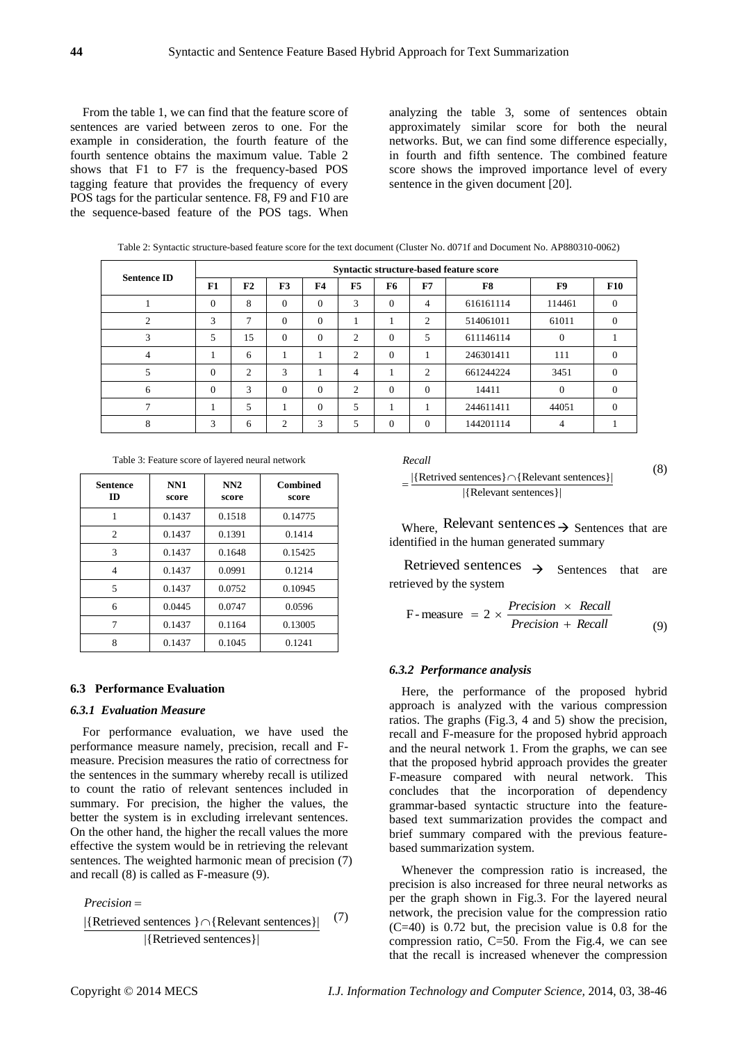From the table 1, we can find that the feature score of sentences are varied between zeros to one. For the example in consideration, the fourth feature of the fourth sentence obtains the maximum value. Table 2 shows that F1 to F7 is the frequency-based POS tagging feature that provides the frequency of every POS tags for the particular sentence. F8, F9 and F10 are the sequence-based feature of the POS tags. When analyzing the table 3, some of sentences obtain approximately similar score for both the neural networks. But, we can find some difference especially, in fourth and fifth sentence. The combined feature score shows the improved importance level of every sentence in the given document [20].

| <b>Sentence ID</b> | Syntactic structure-based feature score |    |                |           |                |          |                |           |          |            |
|--------------------|-----------------------------------------|----|----------------|-----------|----------------|----------|----------------|-----------|----------|------------|
|                    | F1                                      | F2 | F <sub>3</sub> | <b>F4</b> | F <sub>5</sub> | F6       | F7             | F8        | F9       | <b>F10</b> |
|                    | $\Omega$                                | 8  | $\Omega$       | $\Omega$  | 3              | $\Omega$ | $\overline{4}$ | 616161114 | 114461   | $\Omega$   |
| $\overline{c}$     | 3                                       | 7  | $\theta$       | $\Omega$  |                |          | 2              | 514061011 | 61011    | $\Omega$   |
| 3                  | 5                                       | 15 | $\Omega$       | $\Omega$  | 2              | $\Omega$ | 5              | 611146114 | $\Omega$ |            |
| 4                  |                                         | 6  |                |           | 2              | $\Omega$ |                | 246301411 | 111      | $\Omega$   |
| 5                  | $\Omega$                                | 2  | 3              |           | 4              | -        | 2              | 661244224 | 3451     | $\Omega$   |
| 6                  | $\Omega$                                | 3  | $\Omega$       | $\Omega$  | 2              | $\Omega$ | $\Omega$       | 14411     | $\Omega$ | $\Omega$   |
|                    |                                         | 5  |                | $\Omega$  | 5              |          |                | 244611411 | 44051    | $\Omega$   |
| 8                  | 3                                       | 6  | $\overline{c}$ | 3         | 5              | $\Omega$ | $\Omega$       | 144201114 | 4        |            |

Table 2: Syntactic structure-based feature score for the text document (Cluster No. d071f and Document No. AP880310-0062)

Table 3: Feature score of layered neural network

| <b>Sentence</b><br>ID | NN1<br>score | NN2<br>score | <b>Combined</b><br>score |
|-----------------------|--------------|--------------|--------------------------|
|                       | 0.1437       | 0.1518       | 0.14775                  |
| 2                     | 0.1437       | 0.1391       | 0.1414                   |
| 3                     | 0.1437       | 0.1648       | 0.15425                  |
| 4                     | 0.1437       | 0.0991       | 0.1214                   |
| 5                     | 0.1437       | 0.0752       | 0.10945                  |
| 6                     | 0.0445       | 0.0747       | 0.0596                   |
| 7                     | 0.1437       | 0.1164       | 0.13005                  |
| 8                     | 0.1437       | 0.1045       | 0.1241                   |

#### **6.3 Performance Evaluation**

## *6.3.1 Evaluation Measure*

For performance evaluation, we have used the performance measure namely, precision, recall and Fmeasure. Precision measures the ratio of correctness for the sentences in the summary whereby recall is utilized to count the ratio of relevant sentences included in summary. For precision, the higher the values, the better the system is in excluding irrelevant sentences. On the other hand, the higher the recall values the more effective the system would be in retrieving the relevant sentences. The weighted harmonic mean of precision (7) and recall (8) is called as F-measure (9).

*Precision*

$$
Precision =
$$
\n[Retrieved sentences }  $\cap$  {Relevant sentences}] (7)  
\n[Retrieved sentences]

 $(7)$ 

| Recall                                                 | (8) |  |
|--------------------------------------------------------|-----|--|
| $ \{Retrived sentences\} \cap \{Relevant sentences\} $ |     |  |
| $ {Relevant sentences} $                               |     |  |

Where, Relevant sentences  $\rightarrow$  Sentences that are identified in the human generated summary

Retrieved sentences  $\rightarrow$  Sentences that are retrieved by the system

$$
F-measure = 2 \times \frac{Precision \times Recall}{Precision + Recall}
$$
 (9)

#### *6.3.2 Performance analysis*

Here, the performance of the proposed hybrid approach is analyzed with the various compression ratios. The graphs (Fig.3, 4 and 5) show the precision, recall and F-measure for the proposed hybrid approach and the neural network 1. From the graphs, we can see that the proposed hybrid approach provides the greater F-measure compared with neural network. This concludes that the incorporation of dependency grammar-based syntactic structure into the featurebased text summarization provides the compact and brief summary compared with the previous featurebased summarization system.

Whenever the compression ratio is increased, the precision is also increased for three neural networks as per the graph shown in Fig.3. For the layered neural network, the precision value for the compression ratio (C=40) is 0.72 but, the precision value is 0.8 for the compression ratio, C=50. From the Fig.4, we can see that the recall is increased whenever the compression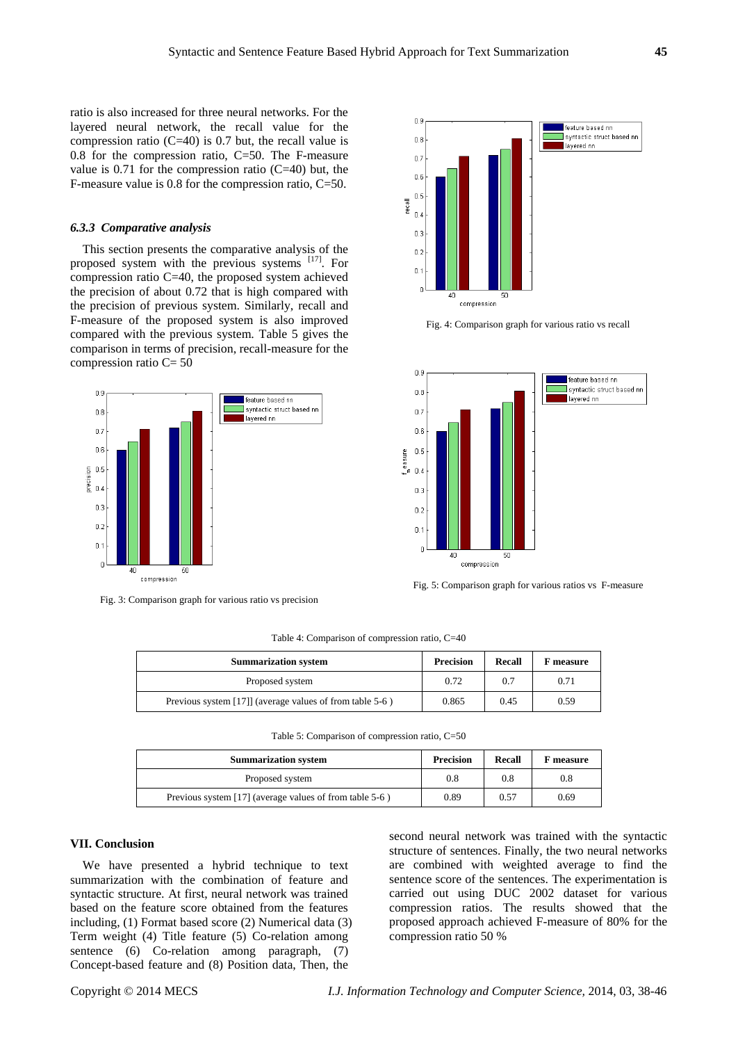ratio is also increased for three neural networks. For the layered neural network, the recall value for the compression ratio (C=40) is 0.7 but, the recall value is 0.8 for the compression ratio, C=50. The F-measure value is  $0.71$  for the compression ratio (C=40) but, the F-measure value is 0.8 for the compression ratio, C=50.

#### *6.3.3 Comparative analysis*

This section presents the comparative analysis of the proposed system with the previous systems [17]. For compression ratio C=40, the proposed system achieved the precision of about 0.72 that is high compared with the precision of previous system. Similarly, recall and F-measure of the proposed system is also improved compared with the previous system. Table 5 gives the comparison in terms of precision, recall-measure for the compression ratio C= 50



Fig. 3: Comparison graph for various ratio vs precision



Fig. 4: Comparison graph for various ratio vs recall



Fig. 5: Comparison graph for various ratios vs F-measure

Table 4: Comparison of compression ratio, C=40

| <b>Summarization system</b>                              | <b>Precision</b> | Recall | <b>F</b> measure |
|----------------------------------------------------------|------------------|--------|------------------|
| Proposed system                                          | 0.72             | 0.7    | 0.71             |
| Previous system [17]] (average values of from table 5-6) | 0.865            | 0.45   | 0.59             |

Table 5: Comparison of compression ratio, C=50

| <b>Summarization system</b>                             | <b>Precision</b> | Recall | F measure |
|---------------------------------------------------------|------------------|--------|-----------|
| Proposed system                                         | 0.8              | 0.8    | 0.8       |
| Previous system [17] (average values of from table 5-6) | 0.89             | 0.57   | 0.69      |

#### **VII. Conclusion**

We have presented a hybrid technique to text summarization with the combination of feature and syntactic structure. At first, neural network was trained based on the feature score obtained from the features including, (1) Format based score (2) Numerical data (3) Term weight (4) Title feature (5) Co-relation among sentence (6) Co-relation among paragraph, (7) Concept-based feature and (8) Position data, Then, the

second neural network was trained with the syntactic structure of sentences. Finally, the two neural networks are combined with weighted average to find the sentence score of the sentences. The experimentation is carried out using DUC 2002 dataset for various compression ratios. The results showed that the proposed approach achieved F-measure of 80% for the compression ratio 50 %